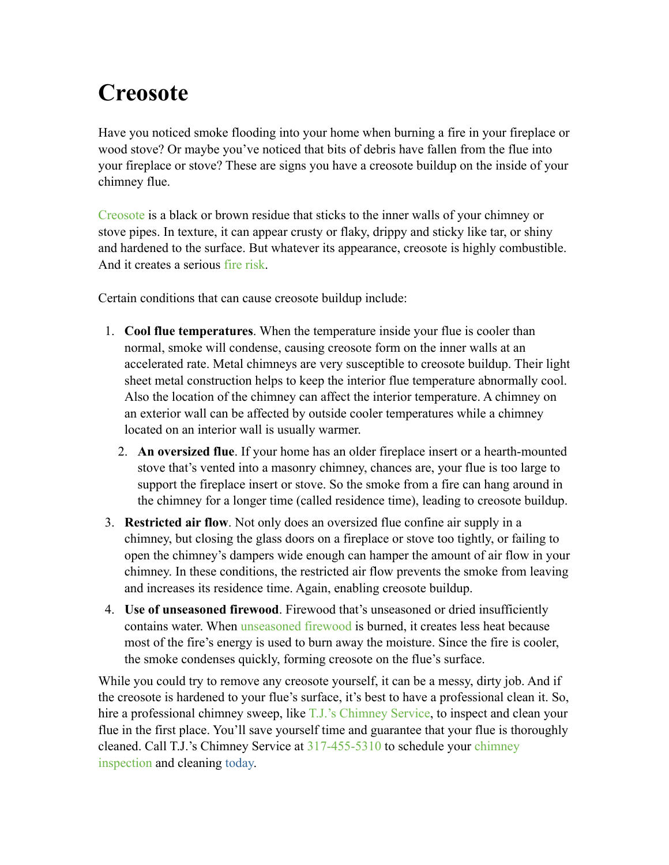# **[Creosote](http://tjschimneyservice.com/chimney/creosote-buildup-can-cause-fires)**

Have you noticed smoke flooding into your home when burning a fire in your fireplace or wood stove? Or maybe you've noticed that bits of debris have fallen from the flue into your fireplace or stove? These are signs you have a creosote buildup on the inside of your chimney flue.

[Creosote](http://tjschimneyservice.com/chimney/creosote-buildup-can-cause-fires) is a black or brown residue that sticks to the inner walls of your chimney or stove pipes. In texture, it can appear crusty or flaky, drippy and sticky like tar, or shiny and hardened to the surface. But whatever its appearance, creosote is highly combustible. And it creates a serious [fire risk.](http://www.csia.org/homeowner-resources/the_facts_about_chimney_fires.aspx)

Certain conditions that can cause creosote buildup include:

- 1. **Cool flue temperatures**. When the temperature inside your flue is cooler than normal, smoke will condense, causing creosote form on the inner walls at an accelerated rate. Metal chimneys are very susceptible to creosote buildup. Their light sheet metal construction helps to keep the interior flue temperature abnormally cool. Also the location of the chimney can affect the interior temperature. A chimney on an exterior wall can be affected by outside cooler temperatures while a chimney located on an interior wall is usually warmer.
	- 2. **An oversized flue**. If your home has an older fireplace insert or a hearth-mounted stove that's vented into a masonry chimney, chances are, your flue is too large to support the fireplace insert or stove. So the smoke from a fire can hang around in the chimney for a longer time (called residence time), leading to creosote buildup.
- 3. **Restricted air flow**. Not only does an oversized flue confine air supply in a chimney, but closing the glass doors on a fireplace or stove too tightly, or failing to open the chimney's dampers wide enough can hamper the amount of air flow in your chimney. In these conditions, the restricted air flow prevents the smoke from leaving and increases its residence time. Again, enabling creosote buildup.
- 4. **Use of unseasoned firewood**. Firewood that's unseasoned or dried insufficiently contains water. When [unseasoned firewood](http://tjschimneyservice.com/chimney/burning-the-right-firewood-matters) is burned, it creates less heat because most of the fire's energy is used to burn away the moisture. Since the fire is cooler, the smoke condenses quickly, forming creosote on the flue's surface.

While you could try to remove any creosote yourself, it can be a messy, dirty job. And if the creosote is hardened to your flue's surface, it's best to have a professional clean it. So, hire a professional chimney sweep, like [T.J.'s Chimney Service,](http://www.tjschimneyservice.com/) to inspect and clean your flue in the first place. You'll save yourself time and guarantee that your flue is thoroughly [cleaned. Call T.J.'s Chimney Service at 317-455-5310 to schedule your chimney](http://tjschimneyservice.com/services)  inspection and cleaning today.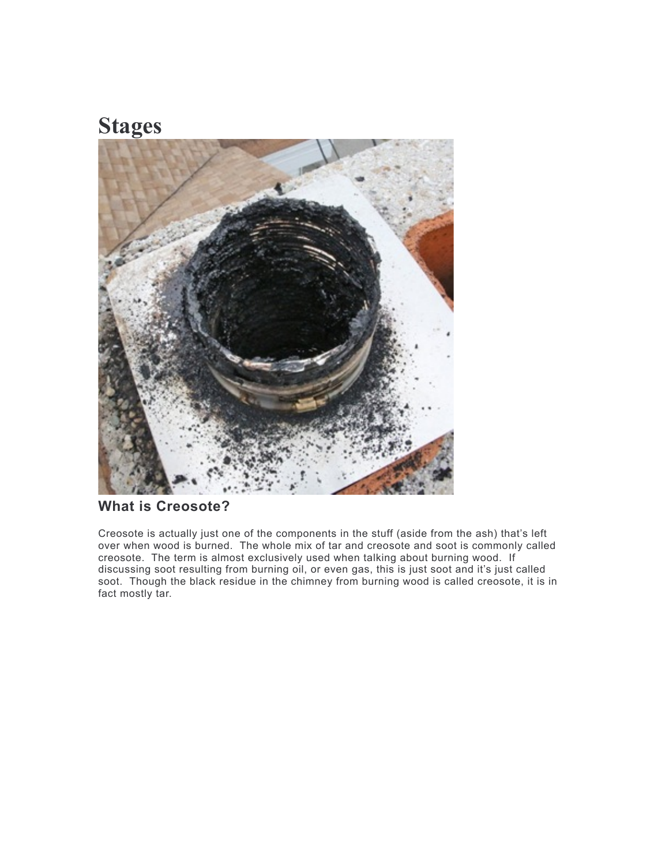## **Stages**



### **What is Creosote?**

Creosote is actually just one of the components in the stuff (aside from the ash) that's left over when wood is burned. The whole mix of tar and creosote and soot is commonly called creosote. The term is almost exclusively used when talking about burning wood. If discussing soot resulting from burning oil, or even gas, this is just soot and it's just called soot. Though the black residue in the chimney from burning wood is called creosote, it is in fact mostly tar.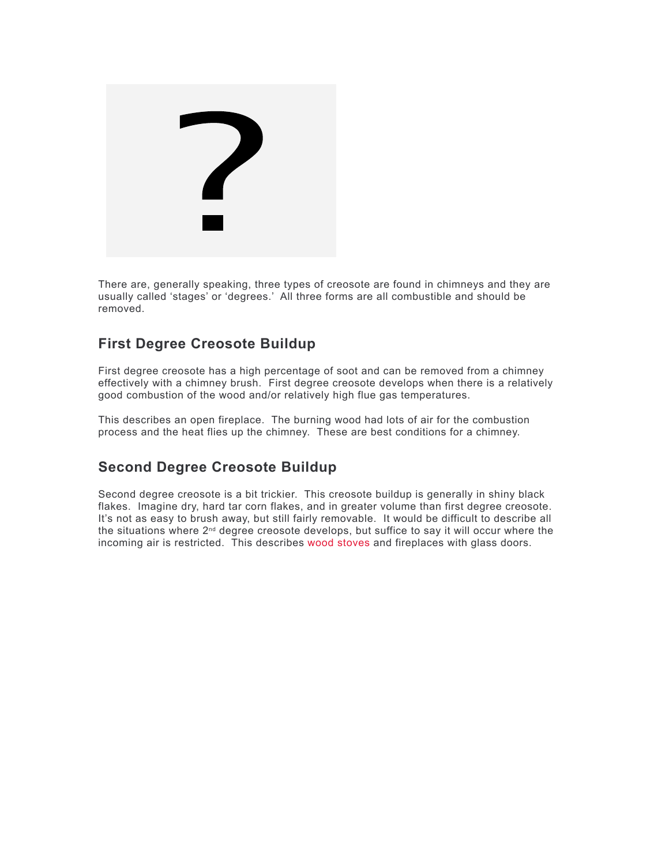

There are, generally speaking, three types of creosote are found in chimneys and they are usually called 'stages' or 'degrees.' All three forms are all combustible and should be removed.

### **First Degree Creosote Buildup**

First degree creosote has a high percentage of soot and can be removed from a chimney effectively with a chimney brush. First degree creosote develops when there is a relatively good combustion of the wood and/or relatively high flue gas temperatures.

This describes an open fireplace. The burning wood had lots of air for the combustion process and the heat flies up the chimney. These are best conditions for a chimney.

### **Second Degree Creosote Buildup**

Second degree creosote is a bit trickier. This creosote buildup is generally in shiny black flakes. Imagine dry, hard tar corn flakes, and in greater volume than first degree creosote. It's not as easy to brush away, but still fairly removable. It would be difficult to describe all the situations where 2nd degree creosote develops, but suffice to say it will occur where the incoming air is restricted. This describes [wood stoves](https://www.highschimney.com/wood-stoves/) and fireplaces with glass doors.